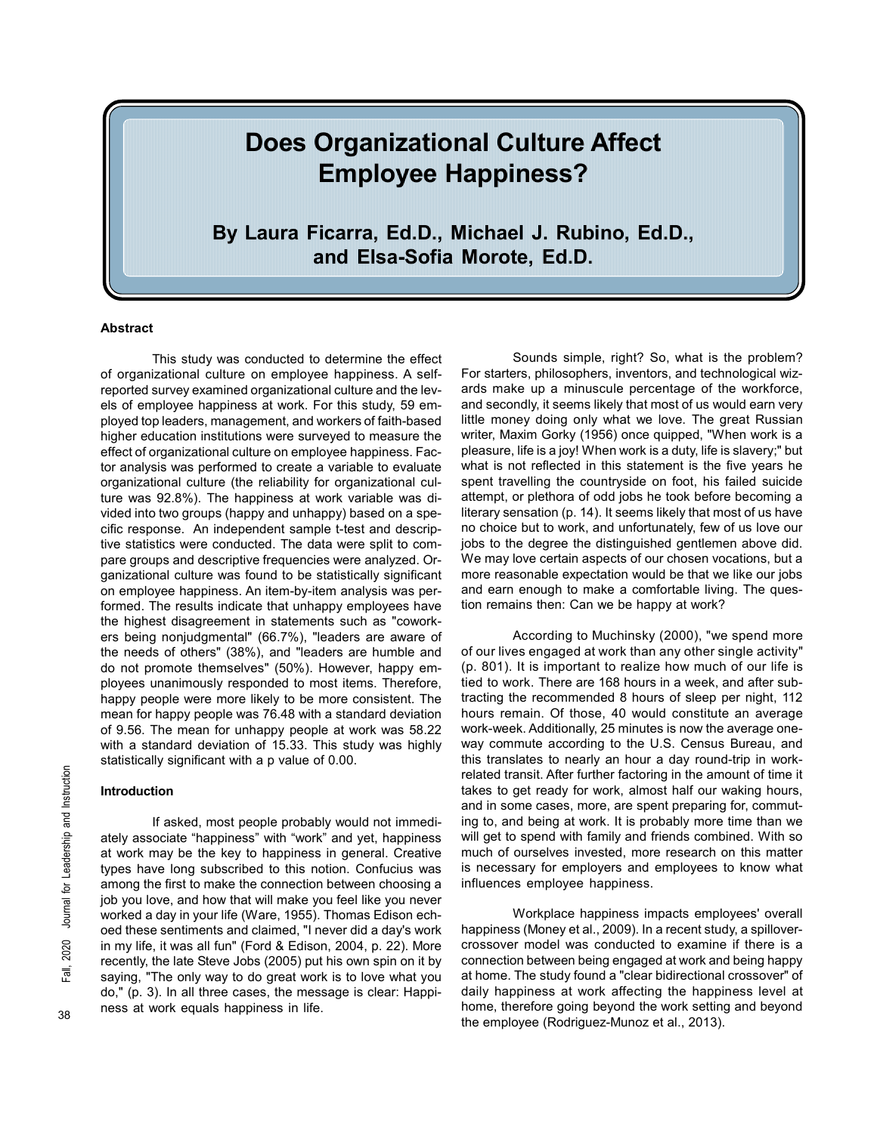# Does Organizational Culture Affect Employee Happiness?

By Laura Ficarra, Ed.D., Michael J. Rubino, Ed.D., and Elsa-Sofia Morote, Ed.D.

# Abstract

This study was conducted to determine the effect of organizational culture on employee happiness. A selfreported survey examined organizational culture and the levels of employee happiness at work. For this study, 59 employed top leaders, management, and workers of faith-based higher education institutions were surveyed to measure the effect of organizational culture on employee happiness. Factor analysis was performed to create a variable to evaluate organizational culture (the reliability for organizational culture was 92.8%). The happiness at work variable was divided into two groups (happy and unhappy) based on a specific response. An independent sample t-test and descriptive statistics were conducted. The data were split to compare groups and descriptive frequencies were analyzed. Organizational culture was found to be statistically significant on employee happiness. An item-by-item analysis was performed. The results indicate that unhappy employees have the highest disagreement in statements such as "coworkers being nonjudgmental" (66.7%), "leaders are aware of the needs of others" (38%), and "leaders are humble and do not promote themselves" (50%). However, happy employees unanimously responded to most items. Therefore, happy people were more likely to be more consistent. The mean for happy people was 76.48 with a standard deviation of 9.56. The mean for unhappy people at work was 58.22 with a standard deviation of 15.33. This study was highly statistically significant with a p value of 0.00.

# Introduction

If asked, most people probably would not immediately associate "happiness" with "work" and yet, happiness at work may be the key to happiness in general. Creative types have long subscribed to this notion. Confucius was among the first to make the connection between choosing a job you love, and how that will make you feel like you never worked a day in your life (Ware, 1955). Thomas Edison echoed these sentiments and claimed, "I never did a day's work in my life, it was all fun" (Ford & Edison, 2004, p. 22). More recently, the late Steve Jobs (2005) put his own spin on it by saying, "The only way to do great work is to love what you do," (p. 3). In all three cases, the message is clear: Happiness at work equals happiness in life.

Sounds simple, right? So, what is the problem? For starters, philosophers, inventors, and technological wizards make up a minuscule percentage of the workforce, and secondly, it seems likely that most of us would earn very little money doing only what we love. The great Russian writer, Maxim Gorky (1956) once quipped, "When work is a pleasure, life is a joy! When work is a duty, life is slavery;" but what is not reflected in this statement is the five years he spent travelling the countryside on foot, his failed suicide attempt, or plethora of odd jobs he took before becoming a literary sensation (p. 14). It seems likely that most of us have no choice but to work, and unfortunately, few of us love our jobs to the degree the distinguished gentlemen above did. We may love certain aspects of our chosen vocations, but a more reasonable expectation would be that we like our jobs and earn enough to make a comfortable living. The question remains then: Can we be happy at work?

According to Muchinsky (2000), "we spend more of our lives engaged at work than any other single activity" (p. 801). It is important to realize how much of our life is tied to work. There are 168 hours in a week, and after subtracting the recommended 8 hours of sleep per night, 112 hours remain. Of those, 40 would constitute an average work-week. Additionally, 25 minutes is now the average oneway commute according to the U.S. Census Bureau, and this translates to nearly an hour a day round-trip in workrelated transit. After further factoring in the amount of time it takes to get ready for work, almost half our waking hours, and in some cases, more, are spent preparing for, commuting to, and being at work. It is probably more time than we will get to spend with family and friends combined. With so much of ourselves invested, more research on this matter is necessary for employers and employees to know what influences employee happiness.

Workplace happiness impacts employees' overall happiness (Money et al., 2009). In a recent study, a spillovercrossover model was conducted to examine if there is a connection between being engaged at work and being happy at home. The study found a "clear bidirectional crossover" of daily happiness at work affecting the happiness level at home, therefore going beyond the work setting and beyond the employee (Rodriguez-Munoz et al., 2013).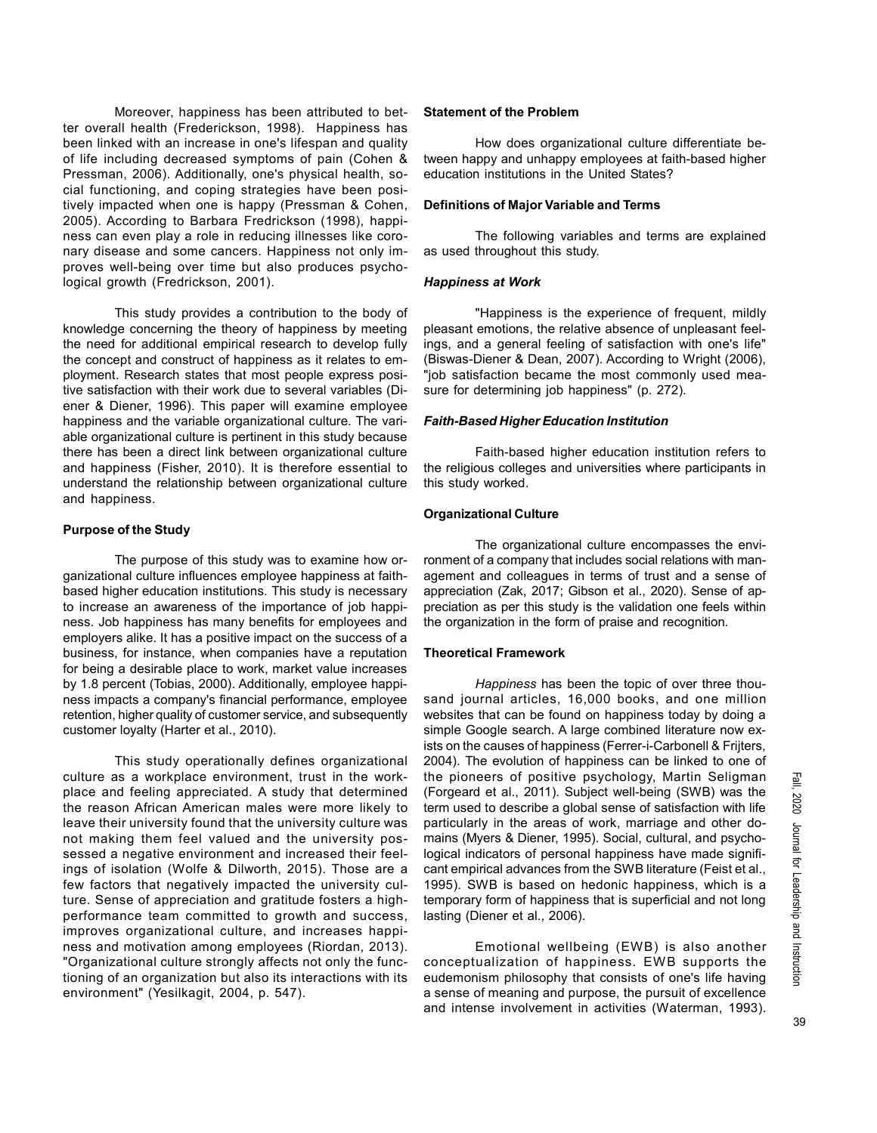Moreover, happiness has been attributed to better overall health (Frederickson, 1998). Happiness has been linked with an increase in one's lifespan and quality of life including decreased symptoms of pain (Cohen & Pressman, 2006). Additionally, one's physical health, social functioning, and coping strategies have been positively impacted when one is happy (Pressman & Cohen, 2005). According to Barbara Fredrickson (1998), happiness can even play a role in reducing illnesses like coronary disease and some cancers. Happiness not only improves well-being over time but also produces psychological growth (Fredrickson, 2001).

This study provides a contribution to the body of knowledge concerning the theory of happiness by meeting the need for additional empirical research to develop fully the concept and construct of happiness as it relates to employment. Research states that most people express positive satisfaction with their work due to several variables (Diener & Diener, 1996). This paper will examine employee happiness and the variable organizational culture. The variable organizational culture is pertinent in this study because there has been a direct link between organizational culture and happiness (Fisher, 2010). It is therefore essential to understand the relationship between organizational culture and happiness.

## Purpose of the Study

The purpose of this study was to examine how organizational culture influences employee happiness at faithbased higher education institutions. This study is necessary to increase an awareness of the importance of job happiness. Job happiness has many benefits for employees and employers alike. It has a positive impact on the success of a business, for instance, when companies have a reputation for being a desirable place to work, market value increases by 1.8 percent (Tobias, 2000). Additionally, employee happiness impacts a company's financial performance, employee retention, higher quality of customer service, and subsequently customer loyalty (Harter et al., 2010).

This study operationally defines organizational culture as a workplace environment, trust in the workplace and feeling appreciated. A study that determined the reason African American males were more likely to leave their university found that the university culture was not making them feel valued and the university possessed a negative environment and increased their feelings of isolation (Wolfe & Dilworth, 2015). Those are a few factors that negatively impacted the university culture. Sense of appreciation and gratitude fosters a highperformance team committed to growth and success, improves organizational culture, and increases happiness and motivation among employees (Riordan, 2013). "Organizational culture strongly affects not only the functioning of an organization but also its interactions with its environment" (Yesilkagit, 2004, p. 547).

#### Statement of the Problem

How does organizational culture differentiate between happy and unhappy employees at faith-based higher education institutions in the United States?

## Definitions of Major Variable and Terms

The following variables and terms are explained as used throughout this study.

## Happiness at Work

"Happiness is the experience of frequent, mildly pleasant emotions, the relative absence of unpleasant feelings, and a general feeling of satisfaction with one's life" (Biswas-Diener & Dean, 2007). According to Wright (2006), "job satisfaction became the most commonly used measure for determining job happiness" (p. 272).

#### Faith-Based Higher Education Institution

Faith-based higher education institution refers to the religious colleges and universities where participants in this study worked.

## Organizational Culture

The organizational culture encompasses the environment of a company that includes social relations with management and colleagues in terms of trust and a sense of appreciation (Zak, 2017; Gibson et al., 2020). Sense of appreciation as per this study is the validation one feels within the organization in the form of praise and recognition.

#### Theoretical Framework

Happiness has been the topic of over three thousand journal articles, 16,000 books, and one million websites that can be found on happiness today by doing a simple Google search. A large combined literature now exists on the causes of happiness (Ferrer-i-Carbonell & Frijters, 2004). The evolution of happiness can be linked to one of the pioneers of positive psychology, Martin Seligman (Forgeard et al., 2011). Subject well-being (SWB) was the term used to describe a global sense of satisfaction with life particularly in the areas of work, marriage and other domains (Myers & Diener, 1995). Social, cultural, and psychological indicators of personal happiness have made significant empirical advances from the SWB literature (Feist et al., 1995). SWB is based on hedonic happiness, which is a temporary form of happiness that is superficial and not long lasting (Diener et al., 2006).

Emotional wellbeing (EWB) is also another conceptualization of happiness. EWB supports the eudemonism philosophy that consists of one's life having a sense of meaning and purpose, the pursuit of excellence and intense involvement in activities (Waterman, 1993).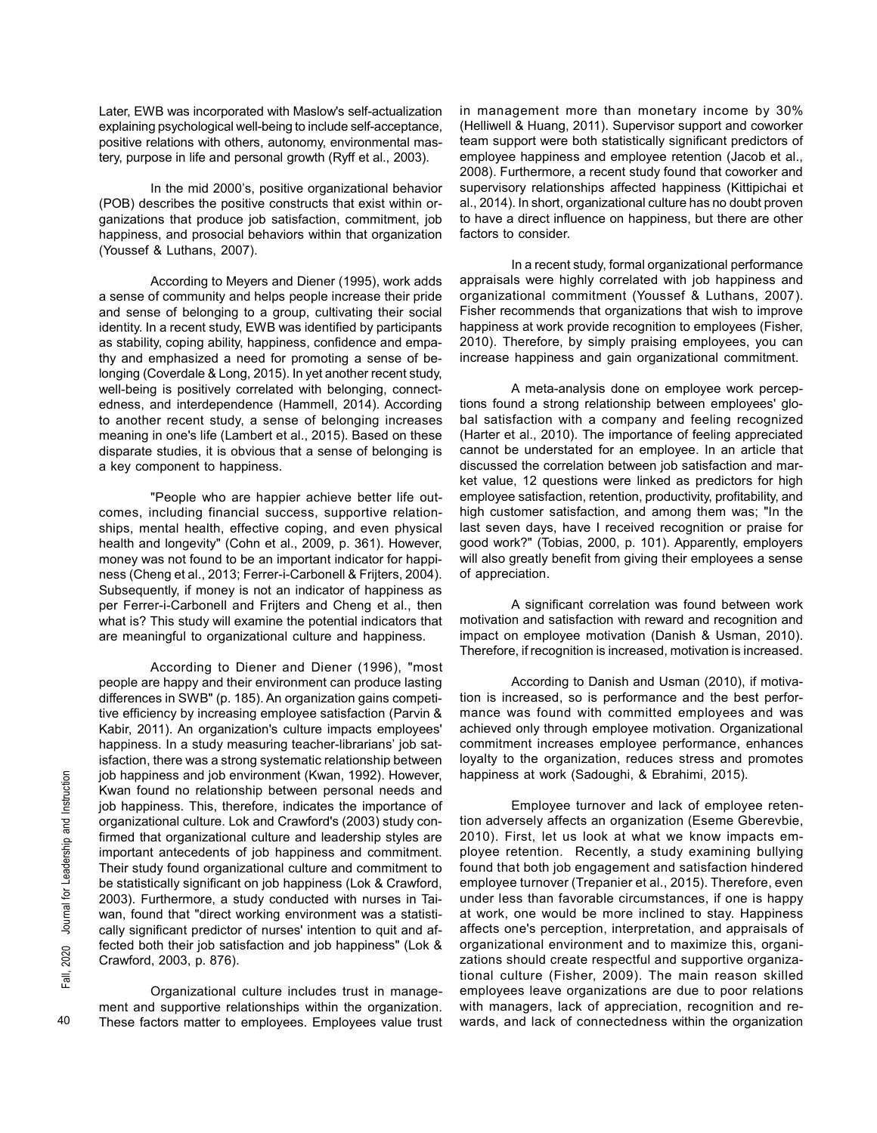Later, EWB was incorporated with Maslow's self-actualization explaining psychological well-being to include self-acceptance, positive relations with others, autonomy, environmental mastery, purpose in life and personal growth (Ryff et al., 2003).

In the mid 2000's, positive organizational behavior (POB) describes the positive constructs that exist within organizations that produce job satisfaction, commitment, job happiness, and prosocial behaviors within that organization (Youssef & Luthans, 2007).

According to Meyers and Diener (1995), work adds a sense of community and helps people increase their pride and sense of belonging to a group, cultivating their social identity. In a recent study, EWB was identified by participants as stability, coping ability, happiness, confidence and empathy and emphasized a need for promoting a sense of belonging (Coverdale & Long, 2015). In yet another recent study, well-being is positively correlated with belonging, connectedness, and interdependence (Hammell, 2014). According to another recent study, a sense of belonging increases meaning in one's life (Lambert et al., 2015). Based on these disparate studies, it is obvious that a sense of belonging is a key component to happiness.

"People who are happier achieve better life outcomes, including financial success, supportive relationships, mental health, effective coping, and even physical health and longevity" (Cohn et al., 2009, p. 361). However, money was not found to be an important indicator for happiness (Cheng et al., 2013; Ferrer-i-Carbonell & Frijters, 2004). Subsequently, if money is not an indicator of happiness as per Ferrer-i-Carbonell and Frijters and Cheng et al., then what is? This study will examine the potential indicators that are meaningful to organizational culture and happiness.

According to Diener and Diener (1996), "most people are happy and their environment can produce lasting differences in SWB" (p. 185). An organization gains competitive efficiency by increasing employee satisfaction (Parvin & Kabir, 2011). An organization's culture impacts employees' happiness. In a study measuring teacher-librarians' job satisfaction, there was a strong systematic relationship between job happiness and job environment (Kwan, 1992). However, Kwan found no relationship between personal needs and job happiness. This, therefore, indicates the importance of organizational culture. Lok and Crawford's (2003) study confirmed that organizational culture and leadership styles are important antecedents of job happiness and commitment. Their study found organizational culture and commitment to be statistically significant on job happiness (Lok & Crawford, 2003). Furthermore, a study conducted with nurses in Taiwan, found that "direct working environment was a statistically significant predictor of nurses' intention to quit and affected both their job satisfaction and job happiness" (Lok & Crawford, 2003, p. 876).

Organizational culture includes trust in management and supportive relationships within the organization. These factors matter to employees. Employees value trust in management more than monetary income by 30% (Helliwell & Huang, 2011). Supervisor support and coworker team support were both statistically significant predictors of employee happiness and employee retention (Jacob et al., 2008). Furthermore, a recent study found that coworker and supervisory relationships affected happiness (Kittipichai et al., 2014). In short, organizational culture has no doubt proven to have a direct influence on happiness, but there are other factors to consider.

In a recent study, formal organizational performance appraisals were highly correlated with job happiness and organizational commitment (Youssef & Luthans, 2007). Fisher recommends that organizations that wish to improve happiness at work provide recognition to employees (Fisher, 2010). Therefore, by simply praising employees, you can increase happiness and gain organizational commitment.

A meta-analysis done on employee work perceptions found a strong relationship between employees' global satisfaction with a company and feeling recognized (Harter et al., 2010). The importance of feeling appreciated cannot be understated for an employee. In an article that discussed the correlation between job satisfaction and market value, 12 questions were linked as predictors for high employee satisfaction, retention, productivity, profitability, and high customer satisfaction, and among them was; "In the last seven days, have I received recognition or praise for good work?" (Tobias, 2000, p. 101). Apparently, employers will also greatly benefit from giving their employees a sense of appreciation.

A significant correlation was found between work motivation and satisfaction with reward and recognition and impact on employee motivation (Danish & Usman, 2010). Therefore, if recognition is increased, motivation is increased.

According to Danish and Usman (2010), if motivation is increased, so is performance and the best performance was found with committed employees and was achieved only through employee motivation. Organizational commitment increases employee performance, enhances loyalty to the organization, reduces stress and promotes happiness at work (Sadoughi, & Ebrahimi, 2015).

Employee turnover and lack of employee retention adversely affects an organization (Eseme Gberevbie, 2010). First, let us look at what we know impacts employee retention. Recently, a study examining bullying found that both job engagement and satisfaction hindered employee turnover (Trepanier et al., 2015). Therefore, even under less than favorable circumstances, if one is happy at work, one would be more inclined to stay. Happiness affects one's perception, interpretation, and appraisals of organizational environment and to maximize this, organizations should create respectful and supportive organizational culture (Fisher, 2009). The main reason skilled employees leave organizations are due to poor relations with managers, lack of appreciation, recognition and rewards, and lack of connectedness within the organization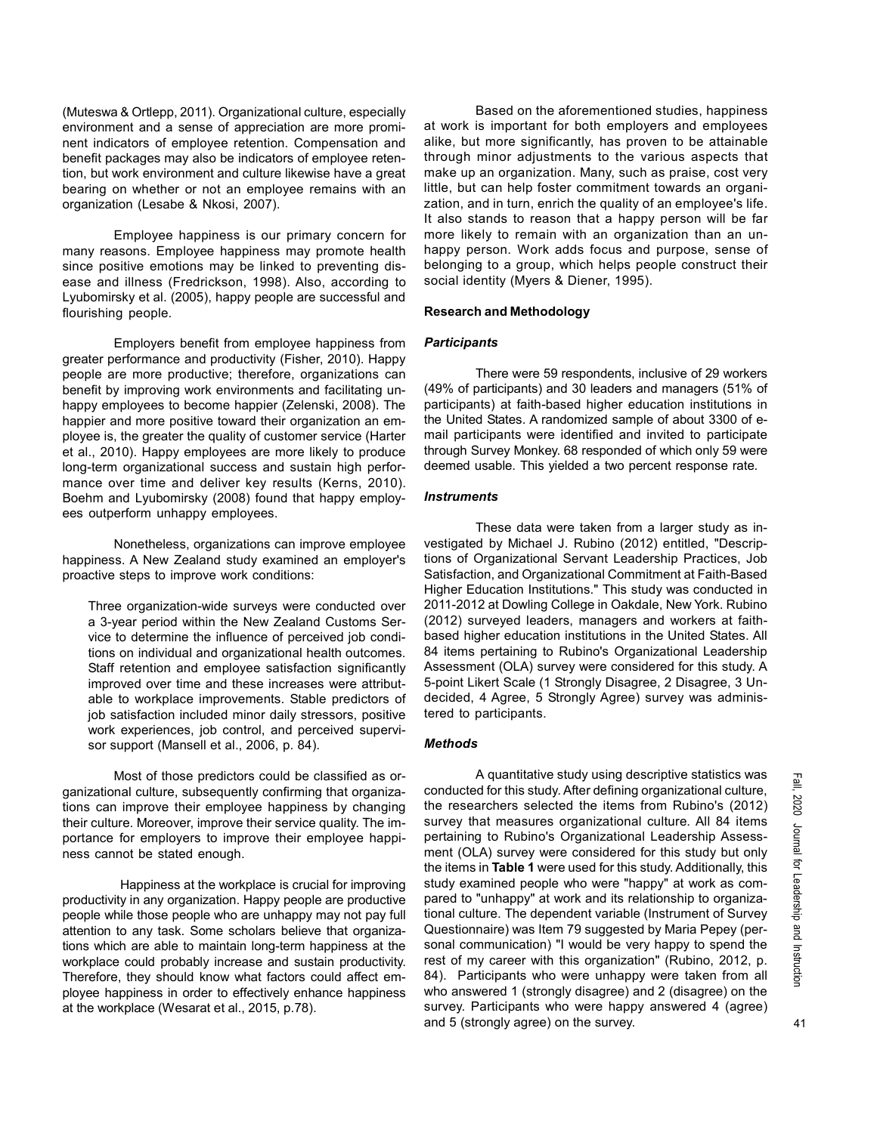(Muteswa & Ortlepp, 2011). Organizational culture, especially environment and a sense of appreciation are more prominent indicators of employee retention. Compensation and benefit packages may also be indicators of employee retention, but work environment and culture likewise have a great bearing on whether or not an employee remains with an organization (Lesabe & Nkosi, 2007).

Employee happiness is our primary concern for many reasons. Employee happiness may promote health since positive emotions may be linked to preventing disease and illness (Fredrickson, 1998). Also, according to Lyubomirsky et al. (2005), happy people are successful and flourishing people.

Employers benefit from employee happiness from greater performance and productivity (Fisher, 2010). Happy people are more productive; therefore, organizations can benefit by improving work environments and facilitating unhappy employees to become happier (Zelenski, 2008). The happier and more positive toward their organization an employee is, the greater the quality of customer service (Harter et al., 2010). Happy employees are more likely to produce long-term organizational success and sustain high performance over time and deliver key results (Kerns, 2010). Boehm and Lyubomirsky (2008) found that happy employees outperform unhappy employees.

Nonetheless, organizations can improve employee happiness. A New Zealand study examined an employer's proactive steps to improve work conditions:

Three organization-wide surveys were conducted over a 3-year period within the New Zealand Customs Service to determine the influence of perceived job conditions on individual and organizational health outcomes. Staff retention and employee satisfaction significantly improved over time and these increases were attributable to workplace improvements. Stable predictors of job satisfaction included minor daily stressors, positive work experiences, job control, and perceived supervisor support (Mansell et al., 2006, p. 84).

Most of those predictors could be classified as organizational culture, subsequently confirming that organizations can improve their employee happiness by changing their culture. Moreover, improve their service quality. The importance for employers to improve their employee happiness cannot be stated enough.

 Happiness at the workplace is crucial for improving productivity in any organization. Happy people are productive people while those people who are unhappy may not pay full attention to any task. Some scholars believe that organizations which are able to maintain long-term happiness at the workplace could probably increase and sustain productivity. Therefore, they should know what factors could affect employee happiness in order to effectively enhance happiness at the workplace (Wesarat et al., 2015, p.78).

Based on the aforementioned studies, happiness at work is important for both employers and employees alike, but more significantly, has proven to be attainable through minor adjustments to the various aspects that make up an organization. Many, such as praise, cost very little, but can help foster commitment towards an organization, and in turn, enrich the quality of an employee's life. It also stands to reason that a happy person will be far more likely to remain with an organization than an unhappy person. Work adds focus and purpose, sense of belonging to a group, which helps people construct their social identity (Myers & Diener, 1995).

# Research and Methodology

## **Participants**

There were 59 respondents, inclusive of 29 workers (49% of participants) and 30 leaders and managers (51% of participants) at faith-based higher education institutions in the United States. A randomized sample of about 3300 of email participants were identified and invited to participate through Survey Monkey. 68 responded of which only 59 were deemed usable. This yielded a two percent response rate.

# **Instruments**

These data were taken from a larger study as investigated by Michael J. Rubino (2012) entitled, "Descriptions of Organizational Servant Leadership Practices, Job Satisfaction, and Organizational Commitment at Faith-Based Higher Education Institutions." This study was conducted in 2011-2012 at Dowling College in Oakdale, New York. Rubino (2012) surveyed leaders, managers and workers at faithbased higher education institutions in the United States. All 84 items pertaining to Rubino's Organizational Leadership Assessment (OLA) survey were considered for this study. A 5-point Likert Scale (1 Strongly Disagree, 2 Disagree, 3 Undecided, 4 Agree, 5 Strongly Agree) survey was administered to participants.

## Methods

A quantitative study using descriptive statistics was conducted for this study. After defining organizational culture, the researchers selected the items from Rubino's (2012) survey that measures organizational culture. All 84 items pertaining to Rubino's Organizational Leadership Assessment (OLA) survey were considered for this study but only the items in Table 1 were used for this study. Additionally, this study examined people who were "happy" at work as compared to "unhappy" at work and its relationship to organizational culture. The dependent variable (Instrument of Survey Questionnaire) was Item 79 suggested by Maria Pepey (personal communication) "I would be very happy to spend the rest of my career with this organization" (Rubino, 2012, p. 84). Participants who were unhappy were taken from all who answered 1 (strongly disagree) and 2 (disagree) on the survey. Participants who were happy answered 4 (agree) and 5 (strongly agree) on the survey.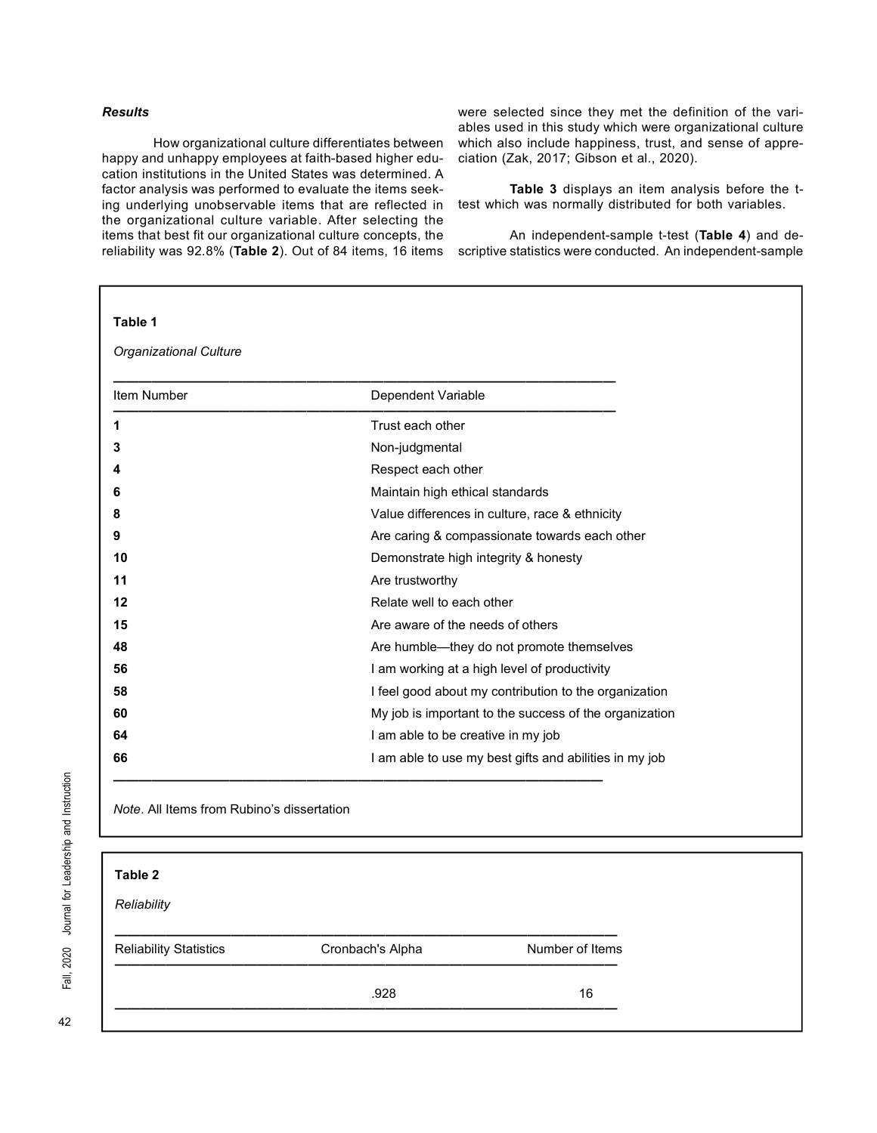# Results

How organizational culture differentiates between happy and unhappy employees at faith-based higher education institutions in the United States was determined. A factor analysis was performed to evaluate the items seeking underlying unobservable items that are reflected in the organizational culture variable. After selecting the items that best fit our organizational culture concepts, the reliability was 92.8% (Table 2). Out of 84 items, 16 items were selected since they met the definition of the variables used in this study which were organizational culture which also include happiness, trust, and sense of appreciation (Zak, 2017; Gibson et al., 2020).

Table 3 displays an item analysis before the ttest which was normally distributed for both variables.

An independent-sample t-test (Table 4) and descriptive statistics were conducted. An independent-sample

| Table 1                       |                                                        |  |  |
|-------------------------------|--------------------------------------------------------|--|--|
| <b>Organizational Culture</b> |                                                        |  |  |
| Item Number                   | Dependent Variable                                     |  |  |
| 1                             | Trust each other                                       |  |  |
| 3                             | Non-judgmental                                         |  |  |
|                               | Respect each other                                     |  |  |
| 6                             | Maintain high ethical standards                        |  |  |
|                               | Value differences in culture, race & ethnicity         |  |  |
|                               | Are caring & compassionate towards each other          |  |  |
| 10                            | Demonstrate high integrity & honesty                   |  |  |
| 11                            | Are trustworthy                                        |  |  |
| 12                            | Relate well to each other                              |  |  |
| 15                            | Are aware of the needs of others                       |  |  |
| 48                            | Are humble-they do not promote themselves              |  |  |
| 56                            | I am working at a high level of productivity           |  |  |
| 58                            | I feel good about my contribution to the organization  |  |  |
| 60                            | My job is important to the success of the organization |  |  |
| 64                            | I am able to be creative in my job                     |  |  |
| 66                            | I am able to use my best gifts and abilities in my job |  |  |

Note. All Items from Rubino's dissertation

| Table 2                       |                  |                 |
|-------------------------------|------------------|-----------------|
| Reliability                   |                  |                 |
| <b>Reliability Statistics</b> | Cronbach's Alpha | Number of Items |
|                               | .928             | 16              |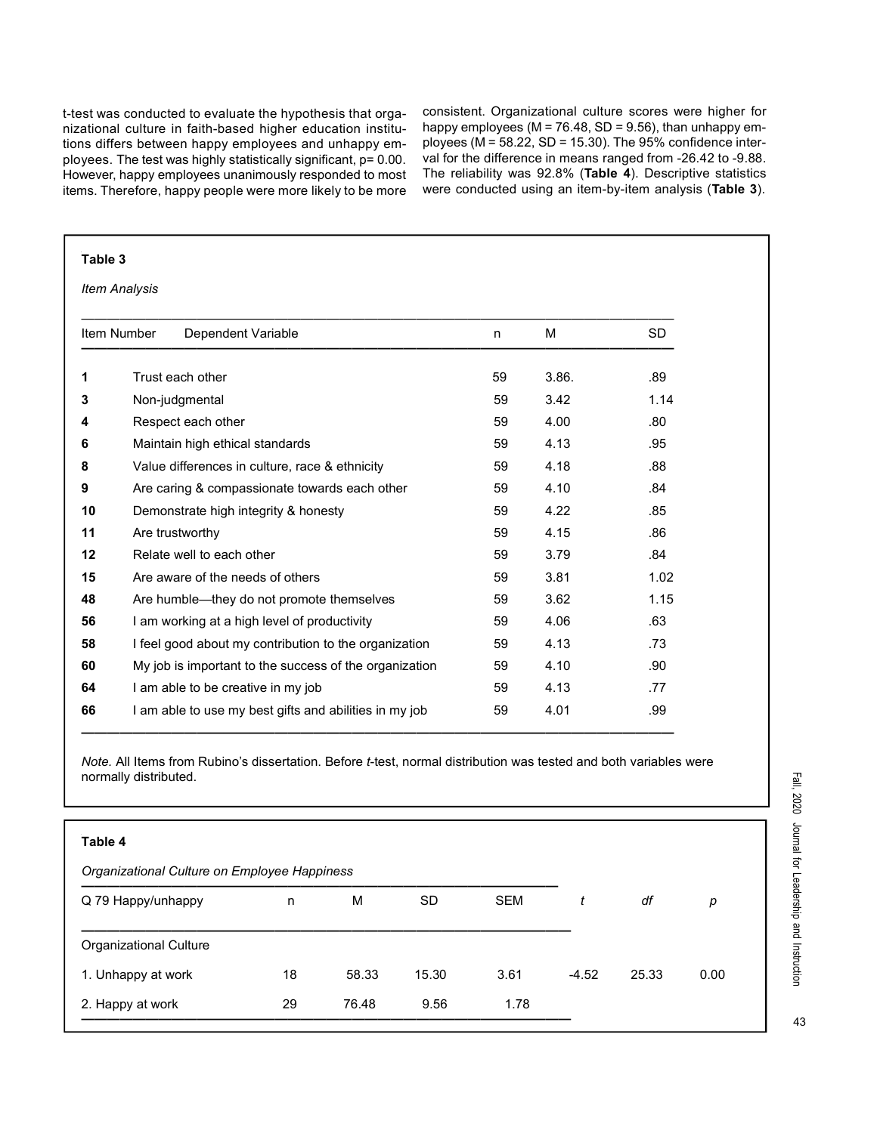t-test was conducted to evaluate the hypothesis that organizational culture in faith-based higher education institutions differs between happy employees and unhappy employees. The test was highly statistically significant, p= 0.00. However, happy employees unanimously responded to most items. Therefore, happy people were more likely to be more consistent. Organizational culture scores were higher for happy employees ( $M = 76.48$ , SD = 9.56), than unhappy employees ( $M = 58.22$ , SD = 15.30). The 95% confidence interval for the difference in means ranged from -26.42 to -9.88. The reliability was 92.8% (Table 4). Descriptive statistics were conducted using an item-by-item analysis (Table 3).

| Table 3 |                                                        |    |       |           |
|---------|--------------------------------------------------------|----|-------|-----------|
|         | <b>Item Analysis</b>                                   |    |       |           |
|         | Item Number<br>Dependent Variable                      | n  | М     | <b>SD</b> |
| 1       | Trust each other                                       | 59 | 3.86. | .89       |
| 3       | Non-judgmental                                         |    | 3.42  | 1.14      |
| 4       | Respect each other                                     |    | 4.00  | .80       |
| 6       | Maintain high ethical standards                        | 59 | 4.13  | .95       |
| 8       | Value differences in culture, race & ethnicity         |    | 4.18  | .88       |
| 9       | Are caring & compassionate towards each other          | 59 | 4.10  | .84       |
| 10      | Demonstrate high integrity & honesty                   | 59 | 4.22  | .85       |
| 11      | Are trustworthy                                        | 59 | 4.15  | .86       |
| 12      | Relate well to each other                              | 59 | 3.79  | .84       |
| 15      | Are aware of the needs of others                       | 59 | 3.81  | 1.02      |
| 48      | Are humble—they do not promote themselves              | 59 | 3.62  | 1.15      |
| 56      | I am working at a high level of productivity           | 59 | 4.06  | .63       |
| 58      | I feel good about my contribution to the organization  | 59 | 4.13  | .73       |
| 60      | My job is important to the success of the organization | 59 | 4.10  | .90       |
| 64      | I am able to be creative in my job                     | 59 | 4.13  | .77       |
| 66      | I am able to use my best gifts and abilities in my job | 59 | 4.01  | .99       |

Note. All Items from Rubino's dissertation. Before t-test, normal distribution was tested and both variables were normally distributed.

——————————————————————————————————————————————

| Table 4                                      |    |       |           |            |         |       |      |
|----------------------------------------------|----|-------|-----------|------------|---------|-------|------|
| Organizational Culture on Employee Happiness |    |       |           |            |         |       |      |
| Q 79 Happy/unhappy                           | n  | М     | <b>SD</b> | <b>SEM</b> | t       | df    | р    |
| <b>Organizational Culture</b>                |    |       |           |            |         |       |      |
| 1. Unhappy at work                           | 18 | 58.33 | 15.30     | 3.61       | $-4.52$ | 25.33 | 0.00 |
| 2. Happy at work                             | 29 | 76.48 | 9.56      | 1.78       |         |       |      |

43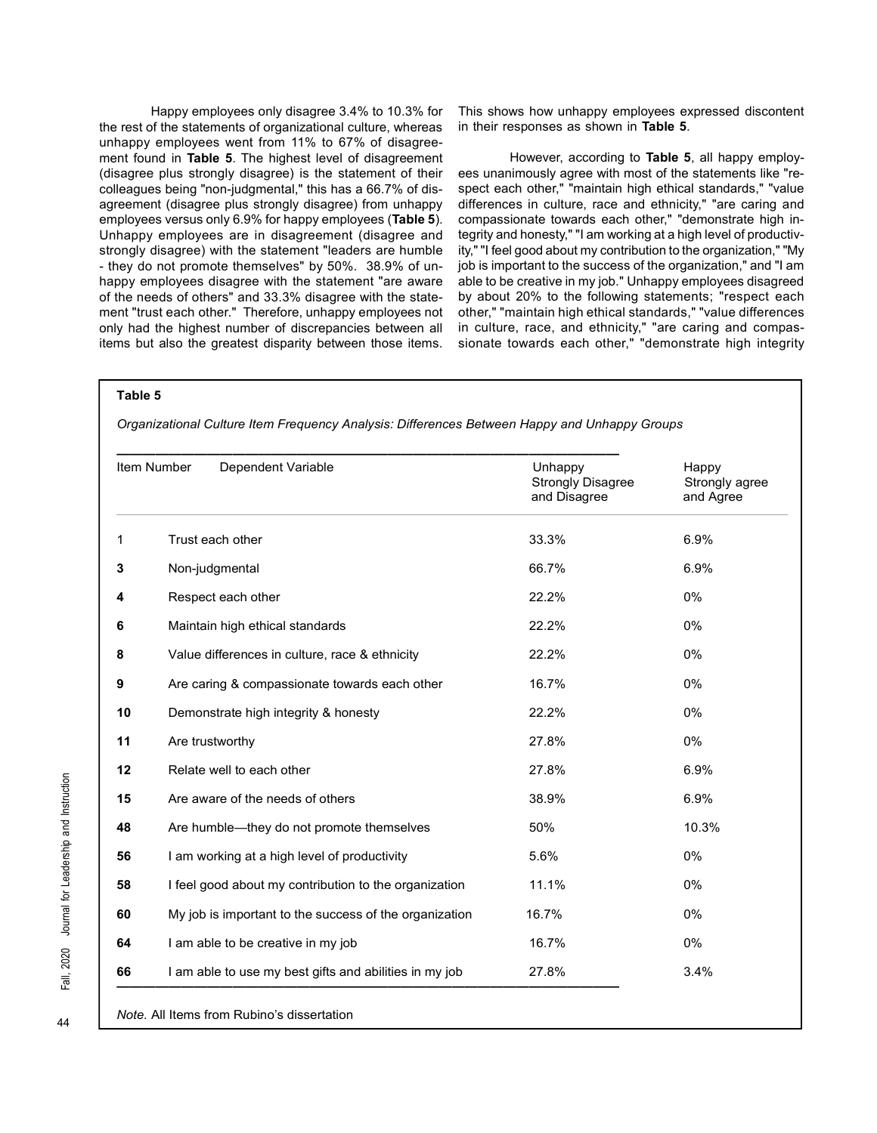Happy employees only disagree 3.4% to 10.3% for the rest of the statements of organizational culture, whereas unhappy employees went from 11% to 67% of disagreement found in Table 5. The highest level of disagreement (disagree plus strongly disagree) is the statement of their colleagues being "non-judgmental," this has a 66.7% of disagreement (disagree plus strongly disagree) from unhappy employees versus only 6.9% for happy employees (Table 5). Unhappy employees are in disagreement (disagree and strongly disagree) with the statement "leaders are humble - they do not promote themselves" by 50%. 38.9% of unhappy employees disagree with the statement "are aware of the needs of others" and 33.3% disagree with the statement "trust each other." Therefore, unhappy employees not only had the highest number of discrepancies between all items but also the greatest disparity between those items.

This shows how unhappy employees expressed discontent in their responses as shown in Table 5.

However, according to Table 5, all happy employees unanimously agree with most of the statements like "respect each other," "maintain high ethical standards," "value differences in culture, race and ethnicity," "are caring and compassionate towards each other," "demonstrate high integrity and honesty," "I am working at a high level of productivity," "I feel good about my contribution to the organization," "My job is important to the success of the organization," and "I am able to be creative in my job." Unhappy employees disagreed by about 20% to the following statements; "respect each other," "maintain high ethical standards," "value differences in culture, race, and ethnicity," "are caring and compassionate towards each other," "demonstrate high integrity

#### Table 5

Organizational Culture Item Frequency Analysis: Differences Between Happy and Unhappy Groups

|    | Item Number<br>Dependent Variable                      | Unhappy<br><b>Strongly Disagree</b><br>and Disagree | Happy<br>Strongly agree<br>and Agree |
|----|--------------------------------------------------------|-----------------------------------------------------|--------------------------------------|
| 1  | Trust each other                                       | 33.3%                                               | 6.9%                                 |
| 3  | Non-judgmental                                         | 66.7%                                               | 6.9%                                 |
| 4  | Respect each other                                     | 22.2%                                               | 0%                                   |
| 6  | Maintain high ethical standards                        | 22.2%                                               | 0%                                   |
| 8  | Value differences in culture, race & ethnicity         | 22.2%                                               | 0%                                   |
| 9  | Are caring & compassionate towards each other          | 16.7%                                               | 0%                                   |
| 10 | Demonstrate high integrity & honesty                   | 22.2%                                               | 0%                                   |
| 11 | Are trustworthy                                        | 27.8%                                               | 0%                                   |
| 12 | Relate well to each other                              | 27.8%                                               | 6.9%                                 |
| 15 | Are aware of the needs of others                       | 38.9%                                               | 6.9%                                 |
| 48 | Are humble—they do not promote themselves              | 50%                                                 | 10.3%                                |
| 56 | I am working at a high level of productivity           | 5.6%                                                | 0%                                   |
| 58 | I feel good about my contribution to the organization  | 11.1%                                               | 0%                                   |
| 60 | My job is important to the success of the organization | 16.7%                                               | 0%                                   |
| 64 | I am able to be creative in my job                     | 16.7%                                               | 0%                                   |
| 66 | I am able to use my best gifts and abilities in my job | 27.8%                                               | 3.4%                                 |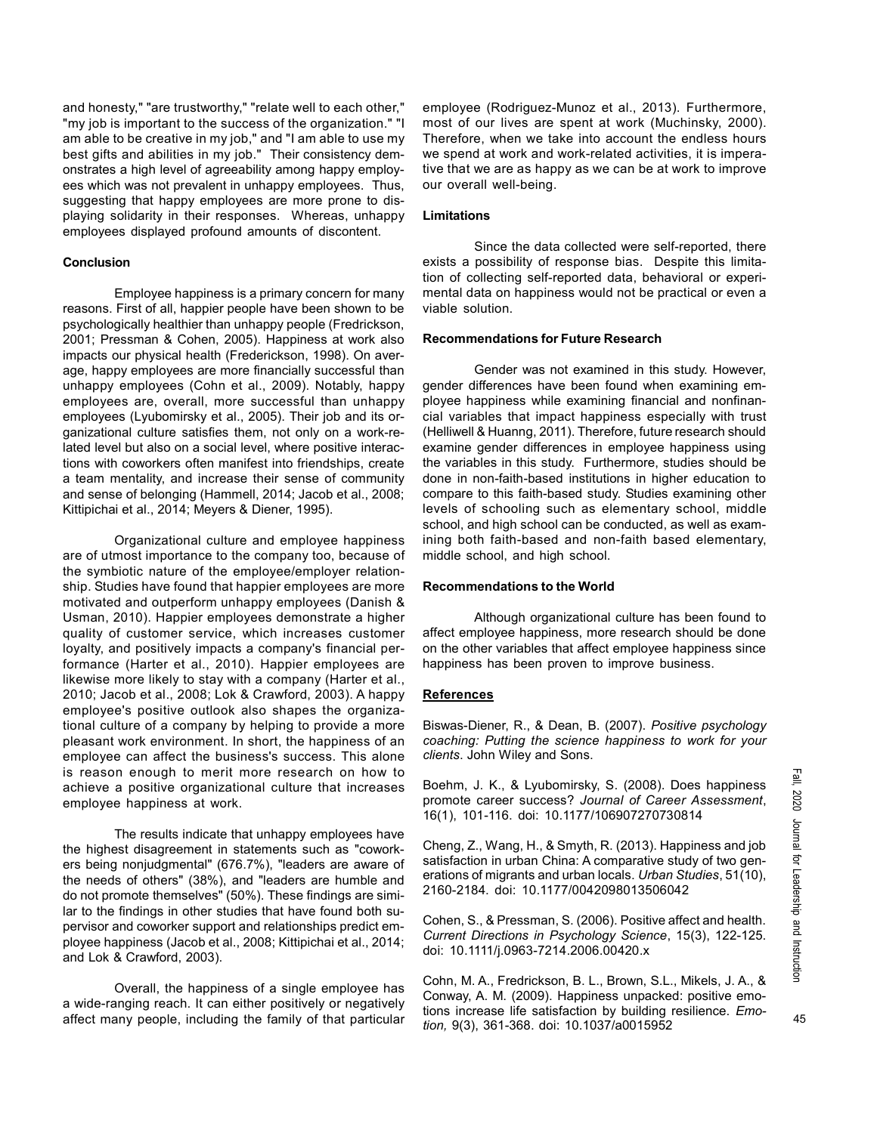and honesty," "are trustworthy," "relate well to each other," "my job is important to the success of the organization." "I am able to be creative in my job," and "I am able to use my best gifts and abilities in my job." Their consistency demonstrates a high level of agreeability among happy employees which was not prevalent in unhappy employees. Thus, suggesting that happy employees are more prone to displaying solidarity in their responses. Whereas, unhappy employees displayed profound amounts of discontent.

## **Conclusion**

Employee happiness is a primary concern for many reasons. First of all, happier people have been shown to be psychologically healthier than unhappy people (Fredrickson, 2001; Pressman & Cohen, 2005). Happiness at work also impacts our physical health (Frederickson, 1998). On average, happy employees are more financially successful than unhappy employees (Cohn et al., 2009). Notably, happy employees are, overall, more successful than unhappy employees (Lyubomirsky et al., 2005). Their job and its organizational culture satisfies them, not only on a work-related level but also on a social level, where positive interactions with coworkers often manifest into friendships, create a team mentality, and increase their sense of community and sense of belonging (Hammell, 2014; Jacob et al., 2008; Kittipichai et al., 2014; Meyers & Diener, 1995).

Organizational culture and employee happiness are of utmost importance to the company too, because of the symbiotic nature of the employee/employer relationship. Studies have found that happier employees are more motivated and outperform unhappy employees (Danish & Usman, 2010). Happier employees demonstrate a higher quality of customer service, which increases customer loyalty, and positively impacts a company's financial performance (Harter et al., 2010). Happier employees are likewise more likely to stay with a company (Harter et al., 2010; Jacob et al., 2008; Lok & Crawford, 2003). A happy employee's positive outlook also shapes the organizational culture of a company by helping to provide a more pleasant work environment. In short, the happiness of an employee can affect the business's success. This alone is reason enough to merit more research on how to achieve a positive organizational culture that increases employee happiness at work.

The results indicate that unhappy employees have the highest disagreement in statements such as "coworkers being nonjudgmental" (676.7%), "leaders are aware of the needs of others" (38%), and "leaders are humble and do not promote themselves" (50%). These findings are similar to the findings in other studies that have found both supervisor and coworker support and relationships predict employee happiness (Jacob et al., 2008; Kittipichai et al., 2014; and Lok & Crawford, 2003).

Overall, the happiness of a single employee has a wide-ranging reach. It can either positively or negatively affect many people, including the family of that particular employee (Rodriguez-Munoz et al., 2013). Furthermore, most of our lives are spent at work (Muchinsky, 2000). Therefore, when we take into account the endless hours we spend at work and work-related activities, it is imperative that we are as happy as we can be at work to improve our overall well-being.

# Limitations

Since the data collected were self-reported, there exists a possibility of response bias. Despite this limitation of collecting self-reported data, behavioral or experimental data on happiness would not be practical or even a viable solution.

## Recommendations for Future Research

Gender was not examined in this study. However, gender differences have been found when examining employee happiness while examining financial and nonfinancial variables that impact happiness especially with trust (Helliwell & Huanng, 2011). Therefore, future research should examine gender differences in employee happiness using the variables in this study. Furthermore, studies should be done in non-faith-based institutions in higher education to compare to this faith-based study. Studies examining other levels of schooling such as elementary school, middle school, and high school can be conducted, as well as examining both faith-based and non-faith based elementary, middle school, and high school.

#### Recommendations to the World

Although organizational culture has been found to affect employee happiness, more research should be done on the other variables that affect employee happiness since happiness has been proven to improve business.

#### References

Biswas-Diener, R., & Dean, B. (2007). Positive psychology coaching: Putting the science happiness to work for your clients. John Wiley and Sons.

Boehm, J. K., & Lyubomirsky, S. (2008). Does happiness promote career success? Journal of Career Assessment, 16(1), 101-116. doi: 10.1177/106907270730814

Cheng, Z., Wang, H., & Smyth, R. (2013). Happiness and job satisfaction in urban China: A comparative study of two generations of migrants and urban locals. Urban Studies, 51(10), 2160-2184. doi: 10.1177/0042098013506042

Cohen, S., & Pressman, S. (2006). Positive affect and health. Current Directions in Psychology Science, 15(3), 122-125. doi: 10.1111/j.0963-7214.2006.00420.x

Cohn, M. A., Fredrickson, B. L., Brown, S.L., Mikels, J. A., & Conway, A. M. (2009). Happiness unpacked: positive emotions increase life satisfaction by building resilience. Emotion, 9(3), 361-368. doi: 10.1037/a0015952

45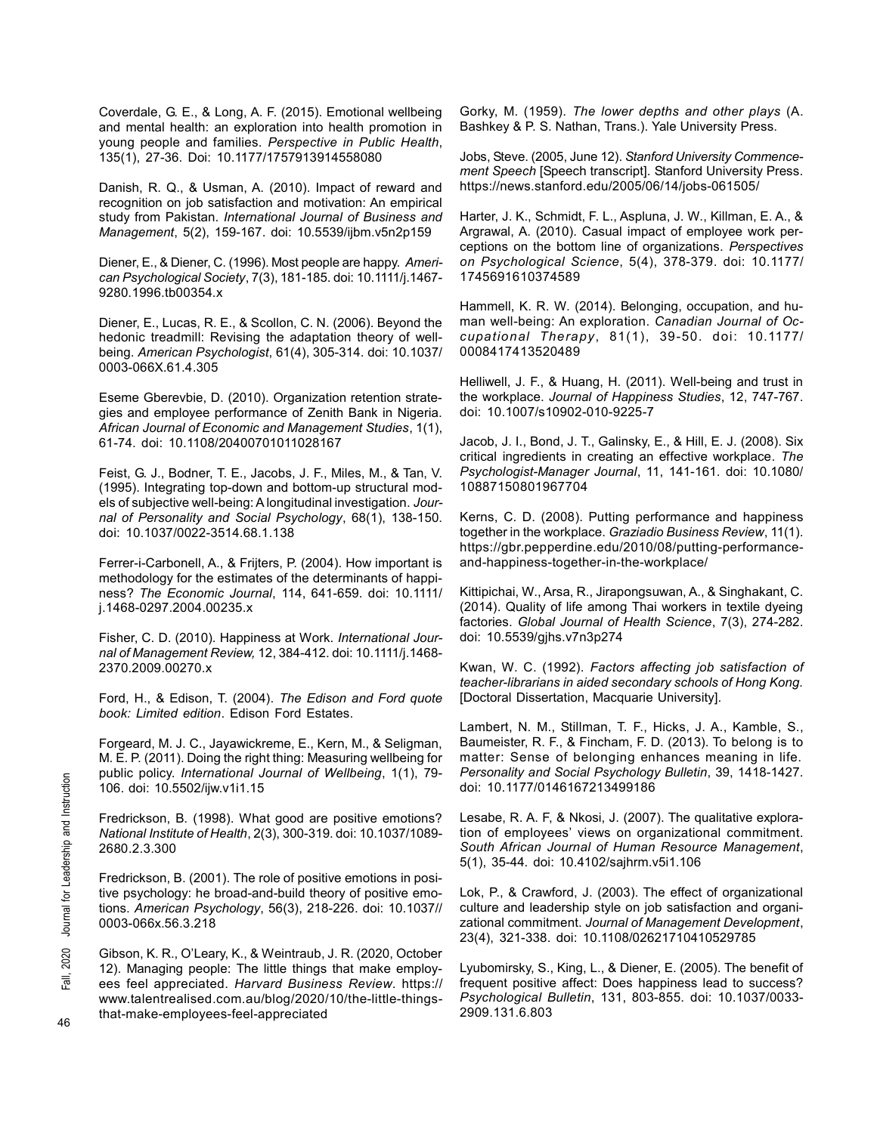Coverdale, G. E., & Long, A. F. (2015). Emotional wellbeing and mental health: an exploration into health promotion in young people and families. Perspective in Public Health, 135(1), 27-36. Doi: 10.1177/1757913914558080

Danish, R. Q., & Usman, A. (2010). Impact of reward and recognition on job satisfaction and motivation: An empirical study from Pakistan. International Journal of Business and Management, 5(2), 159-167. doi: 10.5539/ijbm.v5n2p159

Diener, E., & Diener, C. (1996). Most people are happy. American Psychological Society, 7(3), 181-185. doi: 10.1111/j.1467- 9280.1996.tb00354.x

Diener, E., Lucas, R. E., & Scollon, C. N. (2006). Beyond the hedonic treadmill: Revising the adaptation theory of wellbeing. American Psychologist, 61(4), 305-314. doi: 10.1037/ 0003-066X.61.4.305

Eseme Gberevbie, D. (2010). Organization retention strategies and employee performance of Zenith Bank in Nigeria. African Journal of Economic and Management Studies, 1(1), 61-74. doi: 10.1108/20400701011028167

Feist, G. J., Bodner, T. E., Jacobs, J. F., Miles, M., & Tan, V. (1995). Integrating top-down and bottom-up structural models of subjective well-being: A longitudinal investigation. Journal of Personality and Social Psychology, 68(1), 138-150. doi: 10.1037/0022-3514.68.1.138

Ferrer-i-Carbonell, A., & Frijters, P. (2004). How important is methodology for the estimates of the determinants of happiness? The Economic Journal, 114, 641-659. doi: 10.1111/ j.1468-0297.2004.00235.x

Fisher, C. D. (2010). Happiness at Work. International Journal of Management Review, 12, 384-412. doi: 10.1111/j.1468- 2370.2009.00270.x

Ford, H., & Edison, T. (2004). The Edison and Ford quote book: Limited edition. Edison Ford Estates.

Forgeard, M. J. C., Jayawickreme, E., Kern, M., & Seligman, M. E. P. (2011). Doing the right thing: Measuring wellbeing for public policy. International Journal of Wellbeing, 1(1), 79- 106. doi: 10.5502/ijw.v1i1.15

Fredrickson, B. (1998). What good are positive emotions? National Institute of Health, 2(3), 300-319. doi: 10.1037/1089- 2680.2.3.300

Fredrickson, B. (2001). The role of positive emotions in positive psychology: he broad-and-build theory of positive emotions. American Psychology, 56(3), 218-226. doi: 10.1037// 0003-066x.56.3.218

Gibson, K. R., O'Leary, K., & Weintraub, J. R. (2020, October 12). Managing people: The little things that make employees feel appreciated. Harvard Business Review. https:// www.talentrealised.com.au/blog/2020/10/the-little-thingsthat-make-employees-feel-appreciated

Gorky, M. (1959). The lower depths and other plays (A. Bashkey & P. S. Nathan, Trans.). Yale University Press.

Jobs, Steve. (2005, June 12). Stanford University Commencement Speech [Speech transcript]. Stanford University Press. https://news.stanford.edu/2005/06/14/jobs-061505/

Harter, J. K., Schmidt, F. L., Aspluna, J. W., Killman, E. A., & Argrawal, A. (2010). Casual impact of employee work perceptions on the bottom line of organizations. Perspectives on Psychological Science, 5(4), 378-379. doi: 10.1177/ 1745691610374589

Hammell, K. R. W. (2014). Belonging, occupation, and human well-being: An exploration. Canadian Journal of Occupational Therapy, 81(1), 39-50. doi: 10.1177/ 0008417413520489

Helliwell, J. F., & Huang, H. (2011). Well-being and trust in the workplace. Journal of Happiness Studies, 12, 747-767. doi: 10.1007/s10902-010-9225-7

Jacob, J. I., Bond, J. T., Galinsky, E., & Hill, E. J. (2008). Six critical ingredients in creating an effective workplace. The Psychologist-Manager Journal, 11, 141-161. doi: 10.1080/ 10887150801967704

Kerns, C. D. (2008). Putting performance and happiness together in the workplace. Graziadio Business Review, 11(1). https://gbr.pepperdine.edu/2010/08/putting-performanceand-happiness-together-in-the-workplace/

Kittipichai, W., Arsa, R., Jirapongsuwan, A., & Singhakant, C. (2014). Quality of life among Thai workers in textile dyeing factories. Global Journal of Health Science, 7(3), 274-282. doi: 10.5539/gjhs.v7n3p274

Kwan, W. C. (1992). Factors affecting job satisfaction of teacher-librarians in aided secondary schools of Hong Kong. [Doctoral Dissertation, Macquarie University].

Lambert, N. M., Stillman, T. F., Hicks, J. A., Kamble, S., Baumeister, R. F., & Fincham, F. D. (2013). To belong is to matter: Sense of belonging enhances meaning in life. Personality and Social Psychology Bulletin, 39, 1418-1427. doi: 10.1177/0146167213499186

Lesabe, R. A. F, & Nkosi, J. (2007). The qualitative exploration of employees' views on organizational commitment. South African Journal of Human Resource Management, 5(1), 35-44. doi: 10.4102/sajhrm.v5i1.106

Lok, P., & Crawford, J. (2003). The effect of organizational culture and leadership style on job satisfaction and organizational commitment. Journal of Management Development, 23(4), 321-338. doi: 10.1108/02621710410529785

Lyubomirsky, S., King, L., & Diener, E. (2005). The benefit of frequent positive affect: Does happiness lead to success? Psychological Bulletin, 131, 803-855. doi: 10.1037/0033- 2909.131.6.803